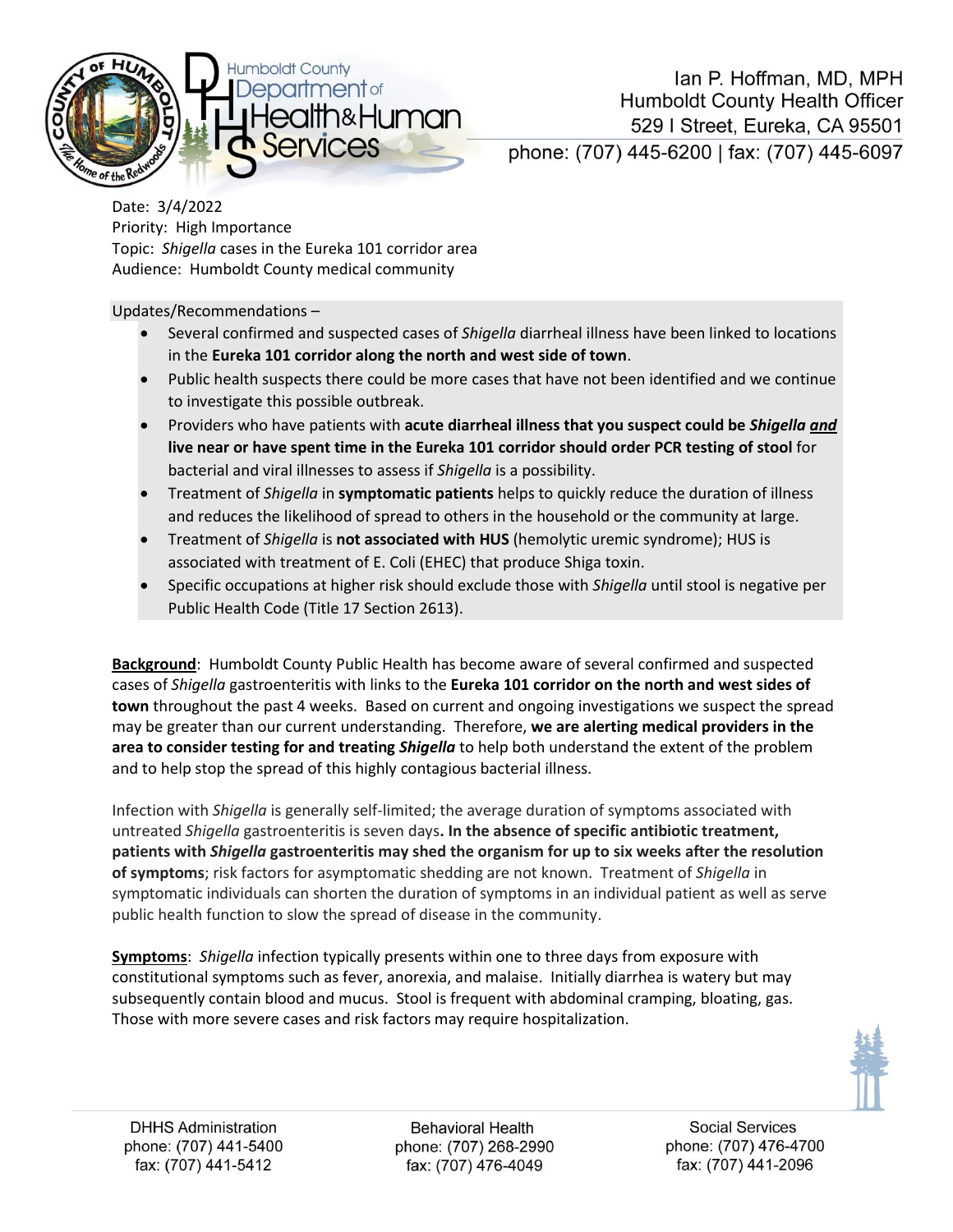

Date: 3/4/2022 Priority: High Importance Topic: *Shigella* cases in the Eureka 101 corridor area Audience: Humboldt County medical community

Updates/Recommendations –

- Several confirmed and suspected cases of *Shigella* diarrheal illness have been linked to locations in the **Eureka 101 corridor along the north and west side of town**.
- Public health suspects there could be more cases that have not been identified and we continue to investigate this possible outbreak.
- Providers who have patients with **acute diarrheal illness that you suspect could be** *Shigella and* **live near or have spent time in the Eureka 101 corridor should order PCR testing of stool** for bacterial and viral illnesses to assess if *Shigella* is a possibility.
- Treatment of *Shigella* in **symptomatic patients** helps to quickly reduce the duration of illness and reduces the likelihood of spread to others in the household or the community at large.
- Treatment of *Shigella* is **not associated with HUS** (hemolytic uremic syndrome); HUS is associated with treatment of E. Coli (EHEC) that produce Shiga toxin.
- Specific occupations at higher risk should exclude those with *Shigella* until stool is negative per Public Health Code (Title 17 Section 2613).

**Background**: Humboldt County Public Health has become aware of several confirmed and suspected cases of *Shigella* gastroenteritis with links to the **Eureka 101 corridor on the north and west sides of town** throughout the past 4 weeks. Based on current and ongoing investigations we suspect the spread may be greater than our current understanding. Therefore, **we are alerting medical providers in the area to consider testing for and treating** *Shigella* to help both understand the extent of the problem and to help stop the spread of this highly contagious bacterial illness.

Infection with *Shigella* is generally self-limited; the average duration of symptoms associated with untreated *Shigella* gastroenteritis is seven days**. In the absence of specific antibiotic treatment, patients with** *Shigella* **gastroenteritis may shed the organism for up to six weeks after the resolution of symptoms**; risk factors for asymptomatic shedding are not known. Treatment of *Shigella* in symptomatic individuals can shorten the duration of symptoms in an individual patient as well as serve public health function to slow the spread of disease in the community.

**Symptoms**: *Shigella* infection typically presents within one to three days from exposure with constitutional symptoms such as fever, anorexia, and malaise. Initially diarrhea is watery but may subsequently contain blood and mucus. Stool is frequent with abdominal cramping, bloating, gas. Those with more severe cases and risk factors may require hospitalization.



**Behavioral Health** phone: (707) 268-2990 fax: (707) 476-4049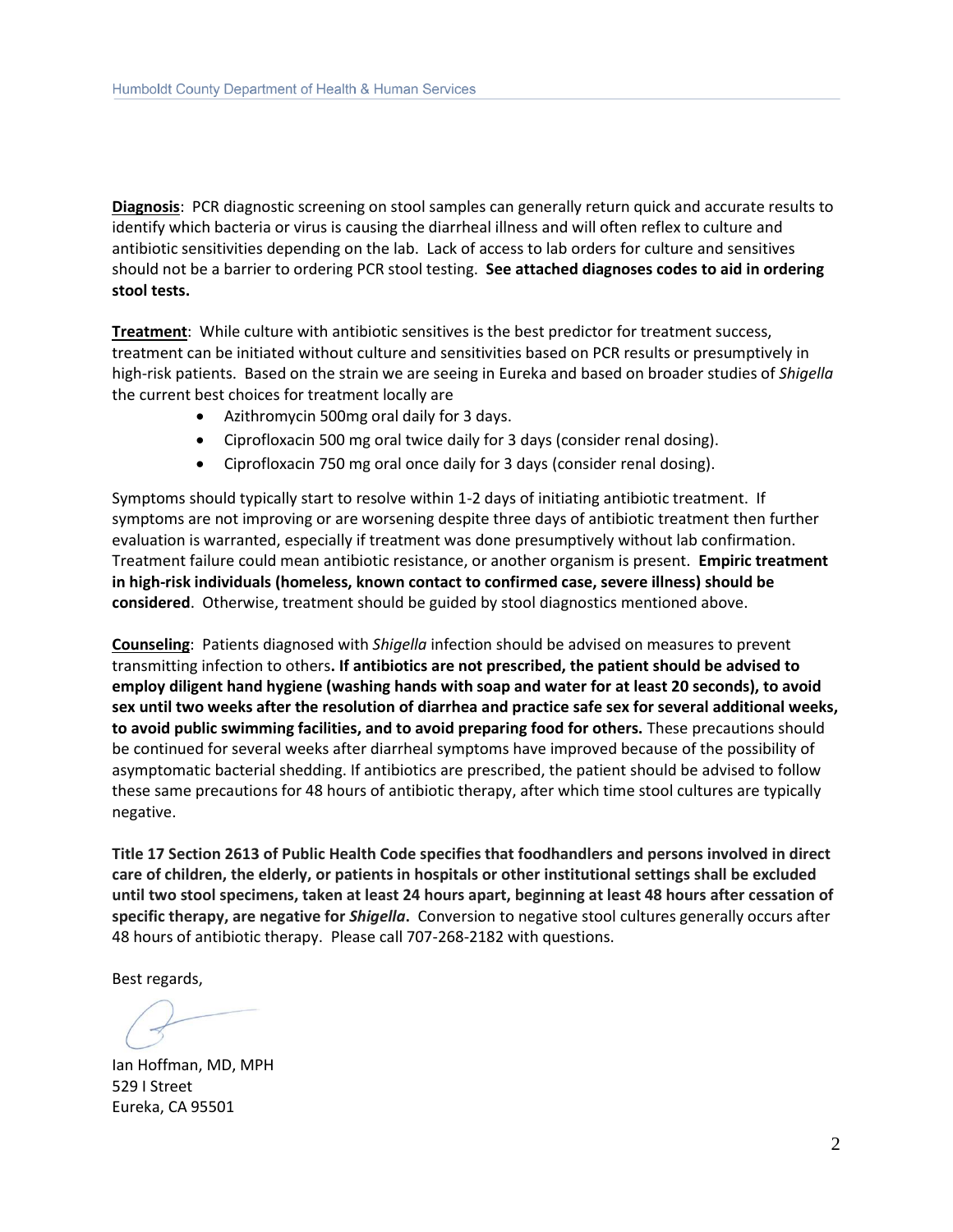**Diagnosis**: PCR diagnostic screening on stool samples can generally return quick and accurate results to identify which bacteria or virus is causing the diarrheal illness and will often reflex to culture and antibiotic sensitivities depending on the lab. Lack of access to lab orders for culture and sensitives should not be a barrier to ordering PCR stool testing. **See attached diagnoses codes to aid in ordering stool tests.**

**Treatment**: While culture with antibiotic sensitives is the best predictor for treatment success, treatment can be initiated without culture and sensitivities based on PCR results or presumptively in high-risk patients. Based on the strain we are seeing in Eureka and based on broader studies of *Shigella* the current best choices for treatment locally are

- Azithromycin 500mg oral daily for 3 days.
- Ciprofloxacin 500 mg oral twice daily for 3 days (consider renal dosing).
- Ciprofloxacin 750 mg oral once daily for 3 days (consider renal dosing).

Symptoms should typically start to resolve within 1-2 days of initiating antibiotic treatment. If symptoms are not improving or are worsening despite three days of antibiotic treatment then further evaluation is warranted, especially if treatment was done presumptively without lab confirmation. Treatment failure could mean antibiotic resistance, or another organism is present. **Empiric treatment in high-risk individuals (homeless, known contact to confirmed case, severe illness) should be considered**. Otherwise, treatment should be guided by stool diagnostics mentioned above.

**Counseling**: Patients diagnosed with *Shigella* infection should be advised on measures to prevent transmitting infection to others**. If antibiotics are not prescribed, the patient should be advised to employ diligent hand hygiene (washing hands with soap and water for at least 20 seconds), to avoid sex until two weeks after the resolution of diarrhea and practice safe sex for several additional weeks, to avoid public swimming facilities, and to avoid preparing food for others.** These precautions should be continued for several weeks after diarrheal symptoms have improved because of the possibility of asymptomatic bacterial shedding. If antibiotics are prescribed, the patient should be advised to follow these same precautions for 48 hours of antibiotic therapy, after which time stool cultures are typically negative.

**Title 17 Section 2613 of Public Health Code specifies that foodhandlers and persons involved in direct care of children, the elderly, or patients in hospitals or other institutional settings shall be excluded until two stool specimens, taken at least 24 hours apart, beginning at least 48 hours after cessation of specific therapy, are negative for** *Shigella***.** Conversion to negative stool cultures generally occurs after 48 hours of antibiotic therapy. Please call 707-268-2182 with questions.

Best regards,

Ian Hoffman, MD, MPH 529 I Street Eureka, CA 95501